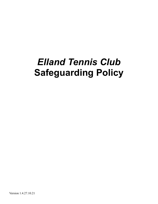# *Elland Tennis Club* **Safeguarding Policy**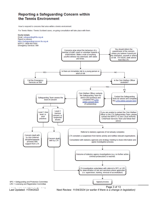## **Reporting a Safeguarding Concern within** the Tennis Environment

How to respond to concerns that arise within a tennis environment

For Tennis Wales / Tennis Scotland cases, on-going consultation will take place with them.



Page 3 of 13<br>Last Updated: 11/04/2022 Mext Review: 11/04/2024 (or earlier if there is a change i Last Updated: *11/04/2022* Next Review: *11/04/2024 (or earlier if there is a change in legislation)*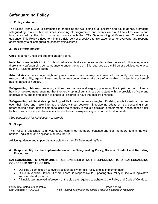# **Safeguarding Policy**

#### **1. Policy statement**

The Elland Tennis Club is committed to prioritising the well-being of all children and adults at risk, promoting safeguarding in our club at all times, including all programmes and events we run. All activities, events and trips arranged by the club run in accordance with the LTA's Safeguarding at Events and Competitions guidance. This Policy strives to minimise risk, deliver a positive tennis experience for everyone and respond appropriately to all safeguarding concerns/disclosures.

#### **2. Use of terminology**

**Child:** a person under the age of eighteen years.

Note that some legislation in Scotland defines a child as a person under sixteen years old. However, where there is any safeguarding concern, anyone under the age of 18 is regarded as a child unless advised otherwise by the LTA Safeguarding Team .

**Adult at risk:** a person aged eighteen years or over who is, or may be, in need of community care services by reason of disability, age or illness; and is, or may be, unable to take care of, or unable to protect him or herself against abuse or neglect.

**Safeguarding children:** protecting children from abuse and neglect, preventing the impairment of children's health or development, ensuring that they grow up in circumstances consistent with the provision of safe and effective care, and taking action to enable all children to have the best life chances.

**Safeguarding adults at risk:** protecting adults from abuse and/or neglect. Enabling adults to maintain control over their lives and make informed choices without coercion. Empowering adults at risk, consulting them before taking action, unless someone lacks the capacity to make a decision, or their mental health poses a risk to their own or someone else's safety, in which case, always acting in his or her best interests.

*(See appendix A for full glossary of terms)*.

#### **3. Scope**

This Policy is applicable to all volunteers, committee members, coaches and club members. It is in line with national legislation and applicable across the UK.

Advice, guidance and support is available from the LTA Safeguarding Team.

#### **4. Responsibility for the implementation of the Safeguarding Policy, Code of Conduct and Reporting Procedure**

#### **SAFEGUARDING IS EVERYONE'S RESPONSIBILITY: NOT RESPONDING TO A SAFEGUARDING CONCERN IS NOT AN OPTION.**

- Our club's committee has overall accountability for this Policy and its implementation
- Our club Welfare Officer, Richard Thorp, is responsible for updating this Policy in line with legislative and club developments
- All individuals involved in/present at the club are required to adhere to the Policy and Code of Conduct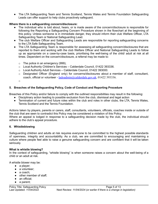The LTA Safeguarding Team and Tennis Scotland, Tennis Wales and Tennis Foundation Safeguarding Leads can offer support to help clubs proactively safeguard.

#### **Where there is a safeguarding concern/disclosure:**

- The individual who is told about, hears, or is made aware of the concern/disclosure is responsible for following the Reporting a Safeguarding Concern Procedure shown in the flowchart at the beginning of this policy. Unless someone is in immediate danger, they should inform their club Welfare Officer, LTA Safeguarding Team or National Safeguarding Lead.
- **●** The club Welfare Officer and Safeguarding Leads are responsible for reporting safeguarding concerns to the LTA Safe Safeguarding Team.
- The LTA Safeguarding Team is responsible for assessing all safeguarding concern/disclosures that are reported to them and working with the club Welfare Officer and National Safeguarding Leads to follow up as appropriate on a case-by-case basis, prioritising the well-being of the child/ adult at risk at all times. Dependent on the concern/disclosure, a referral may be made to:
	- $\circ$  The police in an emergency (999);
	- o Local Authority Children's Services Calderdale Council, 01422 393336.
	- o Local Authority Adult Services Calderdale Council, 01422 393000.
	- $\circ$  Designated Officer (England only) for concerns/disclosures about a member of staff, consultant, coach, official or volunteer *-* [ladoadmin@calderdale.gov.uk](mailto:ladoadmin@calderdale.gov.uk), 01422 393336.

o

#### **5. Breaches of the Safeguarding Policy, Code of Conduct and Reporting Procedure**

Breaches of this Policy and/or failure to comply with the outlined responsibilities may result in the following:

- Disciplinary action leading to possible exclusion from the club, dismissal and legal action
- *●* Termination of current and future roles within the club and roles in other clubs, the LTA, Tennis Wales, Tennis Scotland and the Tennis Foundation*.*

Actions taken by players, parents or carers, staff, consultants, volunteers, officials, coaches inside or outside of the club that are seen to contradict this Policy may be considered a violation of this Policy. Where an appeal is lodged in response to a safeguarding decision made by the club, the individual should adhere to the club's appeal procedure.

#### **6. Whistleblowing**

Safeguarding children and adults at risk requires everyone to be committed to the highest possible standards of openness, integrity and accountability. As a club, we are committed to encouraging and maintaining a culture where people feel able to raise a genuine safeguarding concern and are confident that it will be taken seriously.

#### **What is whistle blowing?**

In the context of safeguarding, "whistle blowing" is when someone raises a concern about the well-being of a child or an adult at risk.

A whistle blower may be:

- a player;
- a volunteer:
- $\bullet$  a coach:
- other member of staff:
- an official;
- a parent;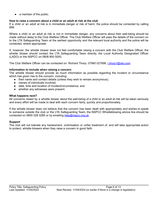• a member of the public.

#### **How to raise a concern about a child or an adult at risk at the club**

If a child or an adult at risk is in immediate danger or risk of harm, the police should be contacted by calling 999.

Where a child or an adult at risk is not in immediate danger, any concerns about their well-being should be made without delay to the Club Welfare Officer. The Club Welfare Officer will pass the details of the concern on to the LTA Safeguarding Team at the earliest opportunity and the relevant local authority and the police will be contacted, where appropriate.

If, however, the whistle blower does not feel comfortable raising a concern with the Club Welfare Officer, the whistle blower should contact the LTA Safeguarding Team directly, the Local Authority Designated Officer (LADO) or the NSPCC on 0808 800 5000.

The Club Welfare Officer can be contacted on: Richard Thorp; *07960 027696, [r.thorp1@sky.com](mailto:r.thorp1@sky.com).*

#### **Information to include when raising a concern**

The whistle blower should provide as much information as possible regarding the incident or circumstance which has given rise to the concern, including:

- their name and contact details (unless they wish to remain anonymous);
- names of individuals involved:
- date, time and location of incident/circumstance; and
- whether any witnesses were present.

#### **What happens next?**

All concerns raised by a whistle blower about the well-being of a child or an adult at risk will be taken seriously and every effort will be made to deal with each concern fairly, quickly and proportionately.

If the whistle blower does not believe that the concern has been dealt with appropriately and wishes to speak to someone outside the club or the LTA Safeguarding Team, the NSPCC Whistleblowing advice line should be contacted on 0800 028 0285 or by emailing [help@nspcc.org.uk](mailto:help@nspcc.org.uk).

#### **Support**

The club will not tolerate any harassment, victimisation or unfair treatment of, and will take appropriate action to protect, whistle blowers when they raise a concern in good faith.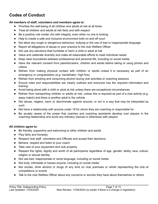# **Codes of Conduct**

#### **All members of staff, volunteers and members agree to:**

- Prioritise the well-being of all children and adults at risk at all times
- Treat all children and adults at risk fairly and with respect
- Be a positive role model. Act with integrity, even when no one is looking
- Help to create a safe and inclusive environment both on and off court
- Not allow any rough or dangerous behaviour, bullying or the use of bad or inappropriate language
- Report all allegations of abuse or poor practice to the club Welfare Officer
- Not use any sanctions that humiliate or harm a child or adult at risk
- Value and celebrate diversity and make all reasonable efforts to meet individual needs
- Keep clear boundaries between professional and personal life, including on social media
- Have the relevant consent from parents/carers, children and adults before taking or using photos and videos
- Refrain from making physical contact with children or adults unless it is necessary as part of an emergency or congratulatory (e.g. handshake / high five)
- Refrain from smoking and consuming alcohol during club activities or coaching sessions
- **●** Ensure roles and responsibilities are clearly outlined and everyone has the required information and training
- Avoid being alone with a child or adult at risk unless there are exceptional circumstances
- Refrain from transporting children or adults at risk, unless this is required as part of a club activity (e.g. away match) and there is another adult in the vehicle
- Not abuse, neglect, harm or discriminate against anyone; or act in a way that may be interpreted as such
- Not have a relationship with anyone under 18 for whom they are coaching or responsible for
- Be acutely aware of the power that coaches and coaching assistants develop over players in the coaching relationship and avoid any intimacy (sexual or otherwise) with players

#### **All children agree to:**

- Be friendly, supportive and welcoming to other children and adults
- Play fairly and honestly
- Respect club staff, volunteers and Officials and accept their decisions
- Behave, respect and listen to your coach
- Take care of your equipment and club property
- Respect the rights, dignity and worth of all participants regardless of age, gender, ability, race, culture, religion or sexual identity
- Not use bad, inappropriate or racist language, including on social media
- Not bully, intimidate or harass anyone, including on social media
- Not smoke, drink alcohol or drugs of any kind on club premises or whilst representing the club at competitions or events
- Talk to the club Welfare Officer about any concerns or worries they have about themselves or others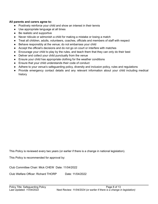#### **All parents and carers agree to:**

- Positively reinforce your child and show an interest in their tennis
- Use appropriate language at all times
- Be realistic and supportive
- Never ridicule or admonish a child for making a mistake or losing a match
- Treat all children, adults, volunteers, coaches, officials and members of staff with respect
- Behave responsibly at the venue; do not embarrass your child
- Accept the official's decisions and do not go on court or interfere with matches
- Encourage your child to play by the rules, and teach them that they can only do their best
- Deliver and collect your child punctually from the venue
- Ensure your child has appropriate clothing for the weather conditions
- Ensure that your child understands their code of conduct
- Adhere to your venue's safeguarding policy, diversity and inclusion policy, rules and regulations
- Provide emergency contact details and any relevant information about your child including medical history

This Policy is reviewed every two years (or earlier if there is a change in national legislation).

This Policy is recommended for approval by:

Club Committee Chair: Mick CHEW Date: 11/04/2022

Club Welfare Officer: Richard THORP Date: 11/04/2022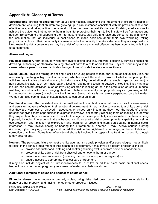## **Appendix A: Glossary of Terms**

**Safeguarding:** protecting **children** from abuse and neglect, preventing the impairment of children's health or development, ensuring that children are growing up in circumstances consistent with the provision of safe and effective care, and taking action to enable all children to have the best life chances. Enabling **adults at risk** to achieve the outcomes that matter to them in their life; protecting their right to live in safety, free from abuse and neglect. Empowering and supporting them to make choices, stay safe and raise any concerns. Beginning with the assumption that an individual is best-placed to make decisions about their own wellbeing, taking proportional action on their behalf only if someone lacks the capacity to make a decision, they are exposed to a life-threatening risk, someone else may be at risk of harm, or a criminal offence has been committed or is likely to be committed.

#### **Abuse and neglect**

**Physical abuse:** A form of abuse which may involve hitting, shaking, throwing, poisoning, burning or scalding, drowning, suffocating or otherwise causing physical harm to a child or adult at risk. Physical harm may also be caused when a parent or carer fabricates the symptoms of, or deliberately induces illness

**Sexual abuse:** Involves forcing or enticing a child or young person to take part in abuse sexual activities, not necessarily involving a high level of violence, whether or not the child is aware of what is happening. The activities may involve physical contact, including assault by penetration (for example, rape or oral sex) or non-penetrative acts such as masturbation, kissing, rubbing and touching outside of clothing. They may also include non-contact activities, such as involving children in looking at, or in the production of, sexual images, watching sexual activities, encouraging children to behave in sexually inappropriate ways, or grooming a child in preparation for abuse (including via the internet). Sexual abuse is not solely perpetrated by adult males. Women can also commit acts of sexual abuse, as can other children

**Emotional abuse:** The persistent emotional maltreatment of a child or adult at risk such as to cause severe and persistent adverse effects on their emotional development. It may involve conveying to a child/ adult at risk that they are worthless or unloved, inadequate, or valued only insofar as they meet the needs of another person; not giving them opportunities to express their views; deliberately silencing them or 'making fun' of what they say or how they communicate. It may feature age or developmentally inappropriate expectations being imposed, including interactions that are beyond a child or adult at risk's developmental capability, as well as overprotection and limitation of exploration and learning, or preventing them participating in normal social interaction. It may involve seeing or hearing the ill-treatment of another. It may involve serious bullying (including cyber bullying), causing a child or adult at risk to feel frightened or in danger, or the exploitation or corruption of children. Some level of emotional abuse is involved in all types of maltreatment of a child, though it may occur alone.

**Neglect:** The persistent failure to meet a child/ adult at risk's basic physical and/or psychological needs, likely to result in the serious impairment of their health or development. It may involve a parent or carer failing to:

- $\circ$  provide adequate food, clothing and shelter (including exclusion from home or abandonment);
- $\circ$  protect a child/ adult at risk from physical and emotional harm or danger;
- $\circ$  ensure adequate supervision (including the use of inadequate care-givers); or
- o ensure access to appropriate medical care or treatment.

It may also include neglect of, or unresponsiveness to, a child's or adult at risk's basic emotional needs. Neglect may occur during pregnancy as a result of maternal substance abuse.

#### **Additional examples of abuse and neglect of adults at risk**

**Financial abuse**: having money or property stolen; being defrauded; being put under pressure in relation to money or other property; and having money or other property misused.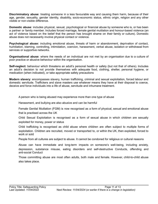**Discriminatory abuse**: treating someone in a less favourable way and causing them harm, because of their age, gender, sexuality, gender identity, disability, socio-economic status, ethnic origin, religion and any other visible or non-visible difference.

**Domestic abuse**: includes physical, sexual, psychological or financial abuse by someone who is, or has been a partner or family member. Includes forced marriage, female genital mutilation and honour-based violence (an act of violence based on the belief that the person has brought shame on their family or culture). Domestic abuse does not necessarily involve physical contact or violence.

**Psychological abuse:** including emotional abuse, threats of harm or abandonment, deprivation of contact, humiliation, blaming, controlling, intimidation, coercion, harassment, verbal abuse, isolation or withdrawal from services or supportive networks.

**Organisational abuse**: where the needs of an individual are not met by an organisation due to a culture of poor practice or abusive behaviour within the organisation.

**Self-neglect:** behaviour which threatens an adult's personal health or safety (but not that of others). Includes an adult's decision to not provide themselves with adequate food, clothing, shelter, personal hygiene, or medication (when indicated), or take appropriate safety precautions

**Modern slavery**: encompasses slavery, human trafficking, criminal and sexual exploitation, forced labour and domestic servitude. Traffickers and slave masters use whatever means they have at their disposal to coerce, deceive and force individuals into a life of abuse, servitude and inhumane treatment.

A person who is being abused may experience more than one type of abuse

Harassment, and bullying are also abusive and can be harmful

Female Genital Mutilation (FGM) is now recognised as a form of physical, sexual and emotional abuse that is practised across the UK

Child Sexual Exploitation is recognised as a form of sexual abuse in which children are sexually exploited for money, power or status

Child trafficking is recognised as child abuse where children are often subject to multiple forms of exploitation. Children are recruited, moved or transported to, or within the UK, then exploited, forced to work or sold

People from all cultures are subject to abuse. It cannot be condoned for religious or cultural reasons

Abuse can have immediate and long-term impacts on someone's well-being, including anxiety, depression, substance misuse, eating disorders and self-destructive Conducts, offending and anti-social Conduct

Those committing abuse are most often adults, both male and female. However, child-to-child abuse also takes place.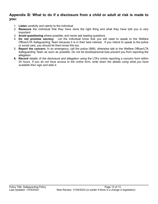## **Appendix B: What to do if a disclosure from a child or adult at risk is made to you:**

- 1. **Listen** carefully and calmly to the individual
- 2. **Reassure** the individual that they have done the right thing and what they have told you is very important
- 3. **Avoid questioning** where possible, and never ask leading questions
- 4. **Do not promise secrecy**. Let the individual know that you will need to speak to the Welfare Officer/LTA Safeguarding Team because it is in their best interest. If you intend to speak to the police or social care, you should let them know this too.
- 5. **Report the concern.** In an emergency, call the police (999), otherwise talk to the Welfare Officer/LTA Safeguarding Team as soon as possible. Do not let doubt/personal bias prevent you from reporting the allegation
- **6. Record** details of the disclosure and allegation using the LTA's online reporting a concern form within 24 hours. If you do not have access to the online form, write down the details using what you have *available then sign and date it.*